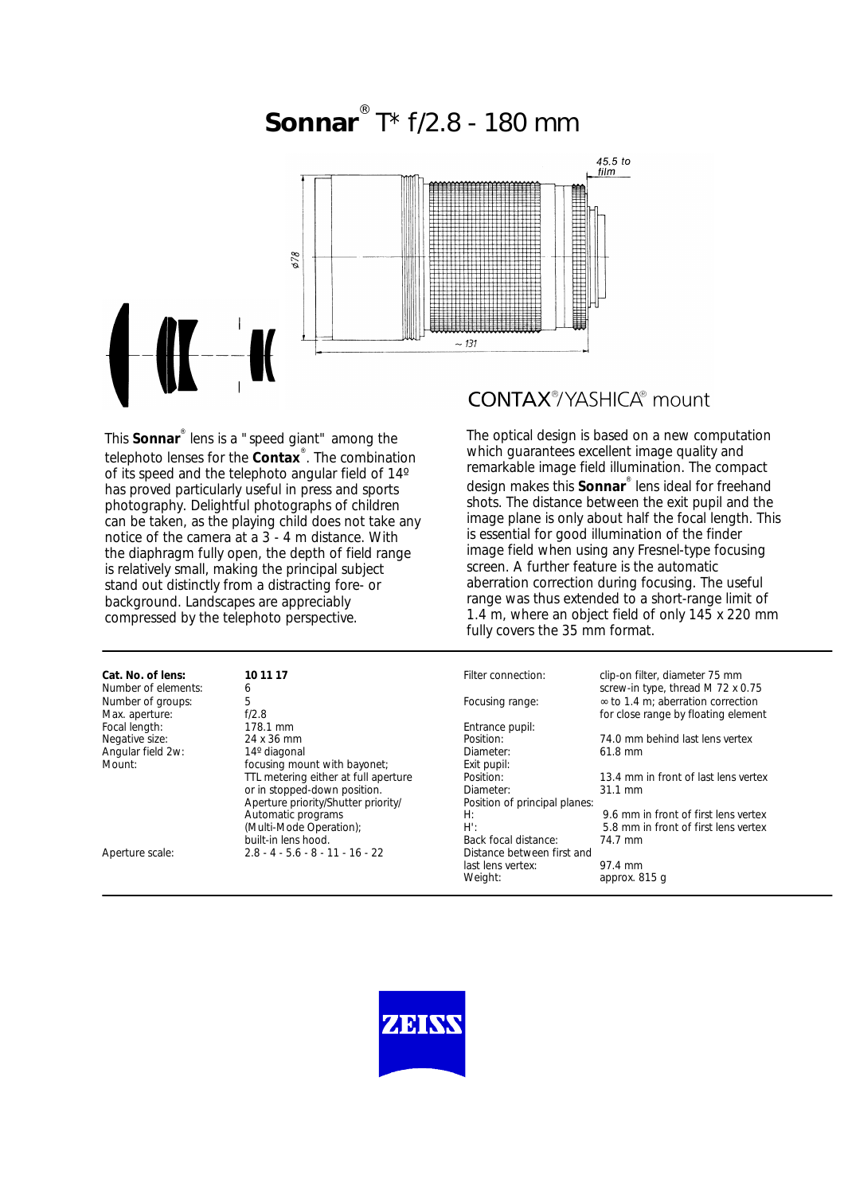

This **Sonnar**® lens is a "speed giant" among the telephoto lenses for the **Contax**® . The combination of its speed and the telephoto angular field of 14º has proved particularly useful in press and sports photography. Delightful photographs of children can be taken, as the playing child does not take any notice of the camera at a 3 - 4 m distance. With the diaphragm fully open, the depth of field range is relatively small, making the principal subject stand out distinctly from a distracting fore- or background. Landscapes are appreciably compressed by the telephoto perspective.

# **CONTAX®/YASHICA®** mount

The optical design is based on a new computation which guarantees excellent image quality and remarkable image field illumination. The compact design makes this **Sonnar**® lens ideal for freehand shots. The distance between the exit pupil and the image plane is only about half the focal length. This is essential for good illumination of the finder image field when using any Fresnel-type focusing screen. A further feature is the automatic aberration correction during focusing. The useful range was thus extended to a short-range limit of 1.4 m, where an object field of only 145 x 220 mm fully covers the 35 mm format.

| Cat. No. of lens:<br>Number of elements: | 10 11 17<br>6                        | Filter connection:            | clip-on filter, diameter 75 mm<br>screw-in type, thread M 72 x 0.75             |
|------------------------------------------|--------------------------------------|-------------------------------|---------------------------------------------------------------------------------|
| Number of groups:<br>Max. aperture:      | 5<br>f/2.8                           | Focusing range:               | $\infty$ to 1.4 m; aberration correction<br>for close range by floating element |
| Focal length:                            | 178.1 mm                             | Entrance pupil:               |                                                                                 |
| Negative size:                           | 24 x 36 mm                           | Position:                     | 74.0 mm behind last lens vertex                                                 |
| Angular field 2w:                        | 14° diagonal                         | Diameter:                     | 61.8 mm                                                                         |
| Mount:                                   | focusing mount with bayonet;         | Exit pupil:                   |                                                                                 |
|                                          | TTL metering either at full aperture | Position:                     | 13.4 mm in front of last lens vertex                                            |
|                                          | or in stopped-down position.         | Diameter:                     | $31.1 \text{ mm}$                                                               |
|                                          | Aperture priority/Shutter priority/  | Position of principal planes: |                                                                                 |
|                                          | Automatic programs                   | H:                            | 9.6 mm in front of first lens vertex                                            |
|                                          | (Multi-Mode Operation);              | $H^{\prime}$ :                | 5.8 mm in front of first lens vertex                                            |
|                                          | built-in lens hood.                  | Back focal distance:          | 74.7 mm                                                                         |
| Aperture scale:                          | $2.8 - 4 - 5.6 - 8 - 11 - 16 - 22$   | Distance between first and    |                                                                                 |
|                                          |                                      | last lens vertex:             | 97.4 mm                                                                         |
|                                          |                                      | Weight:                       | approx. 815 q                                                                   |